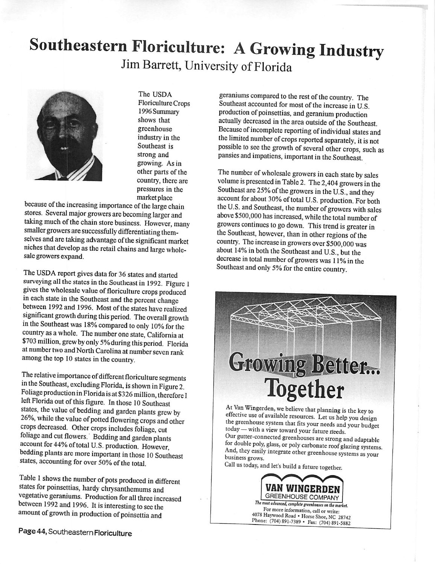## *Southeastern Floriculture: AGrowing Industry* JimBarrett, University of Florida



The USDA FloricultureCrops 1996Summary shows that greenhouse industry in the Southeast is strong and growing. As in other parts of the country, there are pressures in the market place

because of the increasing importance of the large chain stores. Several major growers are becoming larger and taking much of the chain store business. However, many smaller growers are successfully differentiating them selves and are taking advantage ofthe significant market niches that develop as the retail chains and large wholesale growers expand.

The USDA report gives data for 36 states and started surveying all the states in the Southeast in 1992. Figure 1 gives the wholesale value of floriculture crops produced in each state in the Southeast and the percent change between 1992 and 1996. Most of the states have realized significant growth during this period. The overall growth in the Southeast was 18% compared to only 10% for the country as a whole. The number one state, California at \$703 million, grewby only 5% during this period. Florida at number two and North Carolina at number seven rank among the top 10 states in the country.

The relative importance of different floriculture segments in the Southeast, excluding Florida, is shown in Figure 2. Foliage production in Florida is at\$326 million, therefore I left Florida out of this figure. In those 10 Southeast states, the value of bedding and garden plants grew by 26%, while the value of potted flowering crops and other crops decreased. Other crops includes foliage, cut foliage and cut flowers. Bedding and garden plants account for 44% oftotal U.S. production. However, bedding plants are more important in those 10 Southeast states, accounting for over 50% of the total.

Table 1 shows the number of pots produced in different states for poinsettias, hardy chrysanthemums and vegetative geraniums. Production for all three increased between 1992 and 1996. It is interesting to sec the amount of growth in production of poinsettia and

geraniums compared to the rest of the country. The Southeast accounted for most of the increase in U.S. production of poinsettias, and geranium production actually decreased in the area outside of the Southeast. Because of incomplete reporting of individual states and the limited number of crops reported separately, it is not possible to see the growth of several other crops, such as pansies and impatiens, important in the Southeast.

The number of wholesale growers in each state by sales volume is presented in Table 2. The 2,404 growers in the Southeast are 25% of the growers in the U.S., and they account for about 30% of total U.S. production. For both the U.S. and Southeast, the number of growers with sales above \$500,000 has increased, while the total number of growers continues to go down. This trend is greater in the Southeast, however, than in other regions of the country. The increase ingrowers over \$500,000 was about 14% in both the Southeast and U.S., but the decrease in total number of growers was 11% in the Southeast and only 5% for the entire country.

## **Growing Better...** *Together*

At Van Wingerden, we believe that planning is the key to effective use of available resources. Let us help you design the greenhouse system that fits your needs and your budget today — with a view toward your future needs. Our gutter-connected greenhouses are strong and adaptable for double poly, glass, or poly carbonate roof glazing systems. And, they easily integrate other greenhouse systems as your business grows.

Call us today, and let's build afuture together.